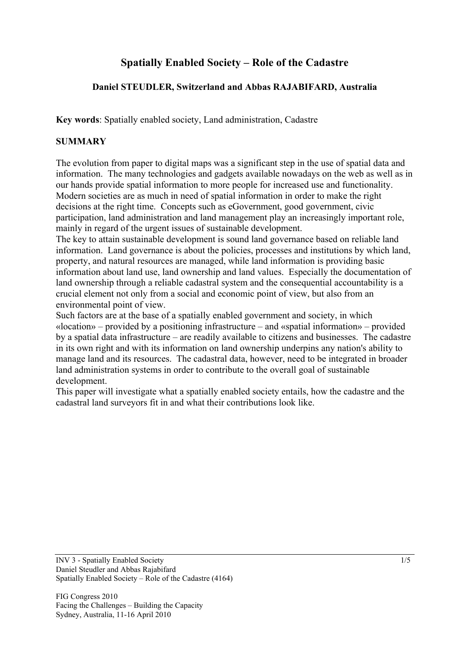# **Spatially Enabled Society – Role of the Cadastre**

# **Daniel STEUDLER, Switzerland and Abbas RAJABIFARD, Australia**

**Key words**: Spatially enabled society, Land administration, Cadastre

#### **SUMMARY**

The evolution from paper to digital maps was a significant step in the use of spatial data and information. The many technologies and gadgets available nowadays on the web as well as in our hands provide spatial information to more people for increased use and functionality. Modern societies are as much in need of spatial information in order to make the right decisions at the right time. Concepts such as eGovernment, good government, civic participation, land administration and land management play an increasingly important role, mainly in regard of the urgent issues of sustainable development.

The key to attain sustainable development is sound land governance based on reliable land information. Land governance is about the policies, processes and institutions by which land, property, and natural resources are managed, while land information is providing basic information about land use, land ownership and land values. Especially the documentation of land ownership through a reliable cadastral system and the consequential accountability is a crucial element not only from a social and economic point of view, but also from an environmental point of view.

Such factors are at the base of a spatially enabled government and society, in which «location» – provided by a positioning infrastructure – and «spatial information» – provided by a spatial data infrastructure – are readily available to citizens and businesses. The cadastre in its own right and with its information on land ownership underpins any nation's ability to manage land and its resources. The cadastral data, however, need to be integrated in broader land administration systems in order to contribute to the overall goal of sustainable development.

This paper will investigate what a spatially enabled society entails, how the cadastre and the cadastral land surveyors fit in and what their contributions look like.

INV 3 - Spatially Enabled Society 1/5 Daniel Steudler and Abbas Rajabifard Spatially Enabled Society – Role of the Cadastre (4164)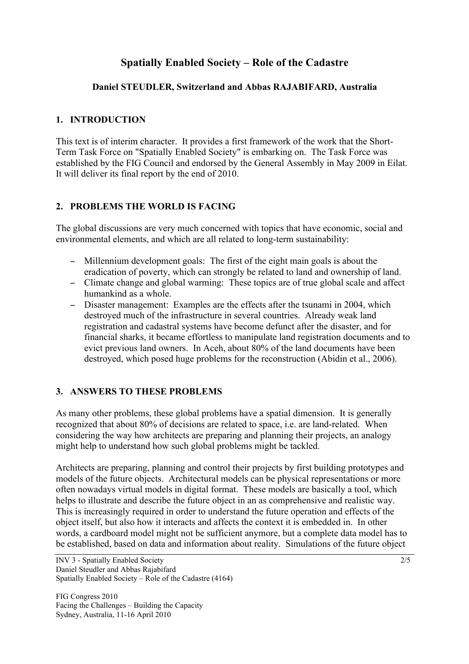# **Spatially Enabled Society – Role of the Cadastre**

## **Daniel STEUDLER, Switzerland and Abbas RAJABIFARD, Australia**

# **1. INTRODUCTION**

This text is of interim character. It provides a first framework of the work that the Short-Term Task Force on "Spatially Enabled Society" is embarking on. The Task Force was established by the FIG Council and endorsed by the General Assembly in May 2009 in Eilat. It will deliver its final report by the end of 2010.

## **2. PROBLEMS THE WORLD IS FACING**

The global discussions are very much concerned with topics that have economic, social and environmental elements, and which are all related to long-term sustainability:

- − Millennium development goals: The first of the eight main goals is about the eradication of poverty, which can strongly be related to land and ownership of land.
- − Climate change and global warming: These topics are of true global scale and affect humankind as a whole.
- − Disaster management: Examples are the effects after the tsunami in 2004, which destroyed much of the infrastructure in several countries. Already weak land registration and cadastral systems have become defunct after the disaster, and for financial sharks, it became effortless to manipulate land registration documents and to evict previous land owners. In Aceh, about 80% of the land documents have been destroyed, which posed huge problems for the reconstruction (Abidin et al., 2006).

# **3. ANSWERS TO THESE PROBLEMS**

As many other problems, these global problems have a spatial dimension. It is generally recognized that about 80% of decisions are related to space, i.e. are land-related. When considering the way how architects are preparing and planning their projects, an analogy might help to understand how such global problems might be tackled.

Architects are preparing, planning and control their projects by first building prototypes and models of the future objects. Architectural models can be physical representations or more often nowadays virtual models in digital format. These models are basically a tool, which helps to illustrate and describe the future object in an as comprehensive and realistic way. This is increasingly required in order to understand the future operation and effects of the object itself, but also how it interacts and affects the context it is embedded in. In other words, a cardboard model might not be sufficient anymore, but a complete data model has to be established, based on data and information about reality. Simulations of the future object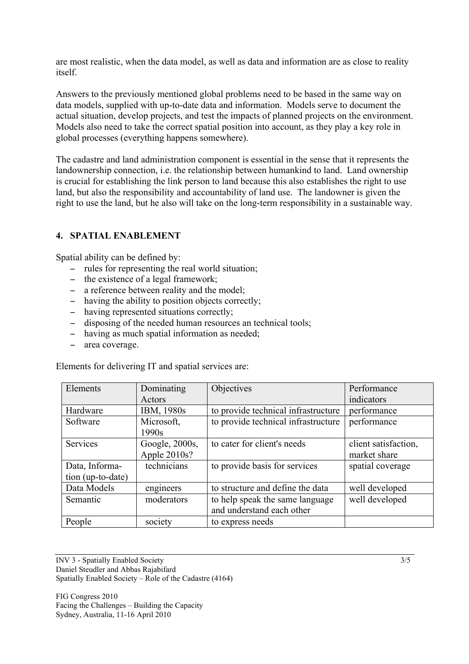are most realistic, when the data model, as well as data and information are as close to reality itself.

Answers to the previously mentioned global problems need to be based in the same way on data models, supplied with up-to-date data and information. Models serve to document the actual situation, develop projects, and test the impacts of planned projects on the environment. Models also need to take the correct spatial position into account, as they play a key role in global processes (everything happens somewhere).

The cadastre and land administration component is essential in the sense that it represents the landownership connection, i.e. the relationship between humankind to land. Land ownership is crucial for establishing the link person to land because this also establishes the right to use land, but also the responsibility and accountability of land use. The landowner is given the right to use the land, but he also will take on the long-term responsibility in a sustainable way.

## **4. SPATIAL ENABLEMENT**

Spatial ability can be defined by:

- − rules for representing the real world situation;
- − the existence of a legal framework;
- − a reference between reality and the model;
- − having the ability to position objects correctly;
- − having represented situations correctly;
- − disposing of the needed human resources an technical tools;
- − having as much spatial information as needed;
- − area coverage.

Elements for delivering IT and spatial services are:

| Elements          | Dominating     | Objectives                          | Performance          |
|-------------------|----------------|-------------------------------------|----------------------|
|                   | Actors         |                                     | indicators           |
| Hardware          | IBM, 1980s     | to provide technical infrastructure | performance          |
| Software          | Microsoft,     | to provide technical infrastructure | performance          |
|                   | 1990s          |                                     |                      |
| Services          | Google, 2000s, | to cater for client's needs         | client satisfaction, |
|                   | Apple 2010s?   |                                     | market share         |
| Data, Informa-    | technicians    | to provide basis for services       | spatial coverage     |
| tion (up-to-date) |                |                                     |                      |
| Data Models       | engineers      | to structure and define the data    | well developed       |
| Semantic          | moderators     | to help speak the same language     | well developed       |
|                   |                | and understand each other           |                      |
| People            | society        | to express needs                    |                      |

INV 3 - Spatially Enabled Society 3/5 Daniel Steudler and Abbas Rajabifard Spatially Enabled Society – Role of the Cadastre (4164)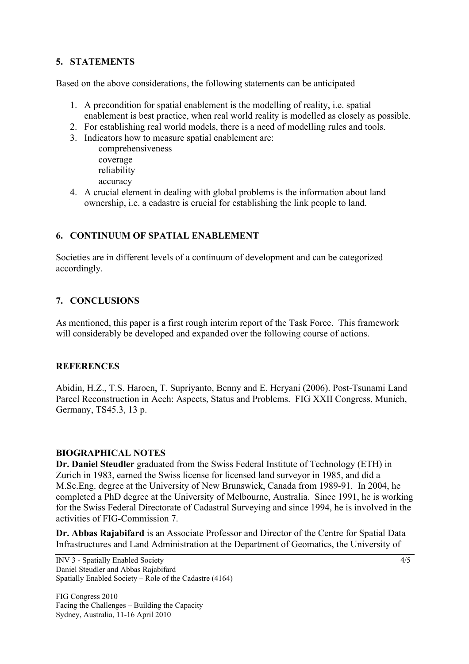# **5. STATEMENTS**

Based on the above considerations, the following statements can be anticipated

- 1. A precondition for spatial enablement is the modelling of reality, i.e. spatial enablement is best practice, when real world reality is modelled as closely as possible.
- 2. For establishing real world models, there is a need of modelling rules and tools.
- 3. Indicators how to measure spatial enablement are:

comprehensiveness coverage reliability accuracy

4. A crucial element in dealing with global problems is the information about land ownership, i.e. a cadastre is crucial for establishing the link people to land.

#### **6. CONTINUUM OF SPATIAL ENABLEMENT**

Societies are in different levels of a continuum of development and can be categorized accordingly.

#### **7. CONCLUSIONS**

As mentioned, this paper is a first rough interim report of the Task Force. This framework will considerably be developed and expanded over the following course of actions.

#### **REFERENCES**

Abidin, H.Z., T.S. Haroen, T. Supriyanto, Benny and E. Heryani (2006). Post-Tsunami Land Parcel Reconstruction in Aceh: Aspects, Status and Problems. FIG XXII Congress, Munich, Germany, TS45.3, 13 p.

#### **BIOGRAPHICAL NOTES**

**Dr. Daniel Steudler** graduated from the Swiss Federal Institute of Technology (ETH) in Zurich in 1983, earned the Swiss license for licensed land surveyor in 1985, and did a M.Sc.Eng. degree at the University of New Brunswick, Canada from 1989-91. In 2004, he completed a PhD degree at the University of Melbourne, Australia. Since 1991, he is working for the Swiss Federal Directorate of Cadastral Surveying and since 1994, he is involved in the activities of FIG-Commission 7.

**Dr. Abbas Rajabifard** is an Associate Professor and Director of the Centre for Spatial Data Infrastructures and Land Administration at the Department of Geomatics, the University of

INV 3 - Spatially Enabled Society 4/5 Daniel Steudler and Abbas Rajabifard Spatially Enabled Society – Role of the Cadastre (4164)